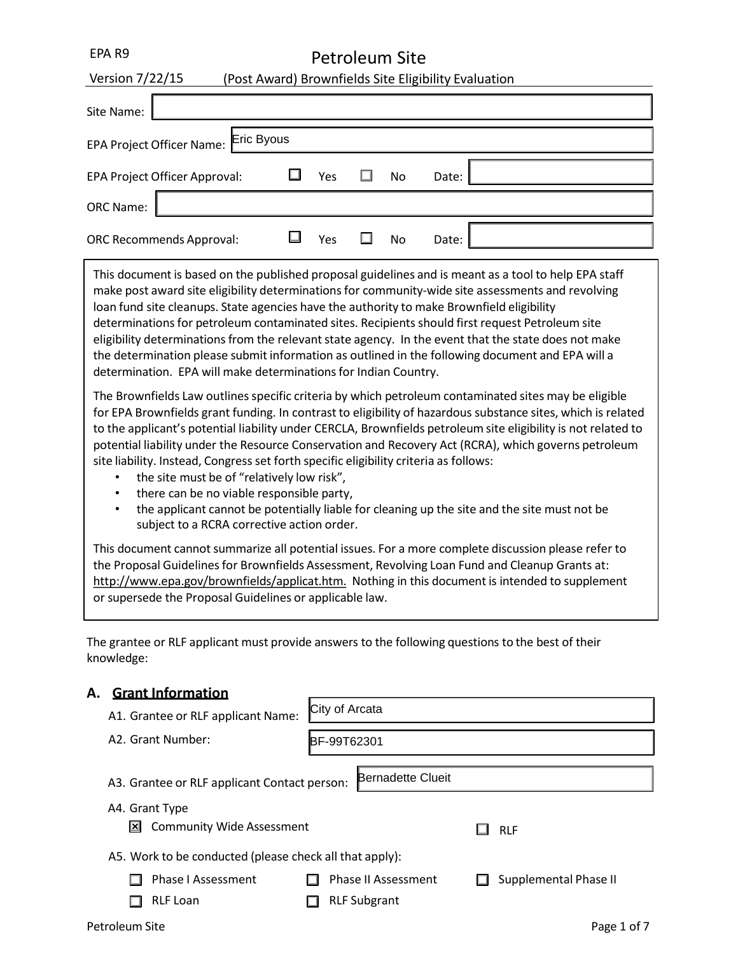# Petroleum Site

| Version 7/22/15                      |  |     |  |           | (Post Award) Brownfields Site Eligibility Evaluation |  |
|--------------------------------------|--|-----|--|-----------|------------------------------------------------------|--|
| Site Name:                           |  |     |  |           |                                                      |  |
| EPA Project Officer Name: Eric Byous |  |     |  |           |                                                      |  |
| EPA Project Officer Approval:        |  | Yes |  | <b>No</b> | Date:                                                |  |
| <b>ORC Name:</b>                     |  |     |  |           |                                                      |  |
| <b>ORC Recommends Approval:</b>      |  | Yes |  | <b>No</b> | Date:                                                |  |
|                                      |  |     |  |           |                                                      |  |

This document is based on the published proposal guidelines and is meant as a tool to help EPA staff make post award site eligibility determinations for community-wide site assessments and revolving loan fund site cleanups. State agencies have the authority to make Brownfield eligibility determinations for petroleum contaminated sites. Recipients should first request Petroleum site eligibility determinations from the relevant state agency. In the event that the state does not make the determination please submit information as outlined in the following document and EPA will a determination. EPA will make determinations for Indian Country.

The Brownfields Law outlines specific criteria by which petroleum contaminated sites may be eligible for EPA Brownfields grant funding. In contrast to eligibility of hazardous substance sites, which is related to the applicant's potential liability under CERCLA, Brownfields petroleum site eligibility is not related to potential liability under the Resource Conservation and Recovery Act (RCRA), which governs petroleum site liability. Instead, Congress set forth specific eligibility criteria as follows:

- the site must be of "relatively low risk",
- there can be no viable responsible party,
- the applicant cannot be potentially liable for cleaning up the site and the site must not be subject to a RCRA corrective action order.

This document cannot summarize all potential issues. For a more complete discussion please refer to the Proposal Guidelines for Brownfields Assessment, Revolving Loan Fund and Cleanup Grants at: [http://www.epa.gov/brownfields/applicat.htm.](http://www.epa.gov/brownfields/applicat.htm) Nothing in this document is intended to supplement or supersede the Proposal Guidelines or applicable law.

The grantee or RLF applicant must provide answers to the following questions to the best of their knowledge:

# **A. Grant Information**

| г. | <u>Signemoniquon</u>                                    |                            |                       |
|----|---------------------------------------------------------|----------------------------|-----------------------|
|    | A1. Grantee or RLF applicant Name:                      | City of Arcata             |                       |
|    | A2. Grant Number:                                       | BF-99T62301                |                       |
|    | A3. Grantee or RLF applicant Contact person:            | <b>Bernadette Clueit</b>   |                       |
|    | A4. Grant Type                                          |                            |                       |
|    | <b>Community Wide Assessment</b><br>IΣ                  |                            | <b>RLF</b>            |
|    | A5. Work to be conducted (please check all that apply): |                            |                       |
|    | Phase I Assessment                                      | <b>Phase II Assessment</b> | Supplemental Phase II |
|    | <b>RLF Loan</b>                                         | <b>RLF Subgrant</b>        |                       |
|    | Petroleum Site                                          |                            | Page 1 of 7           |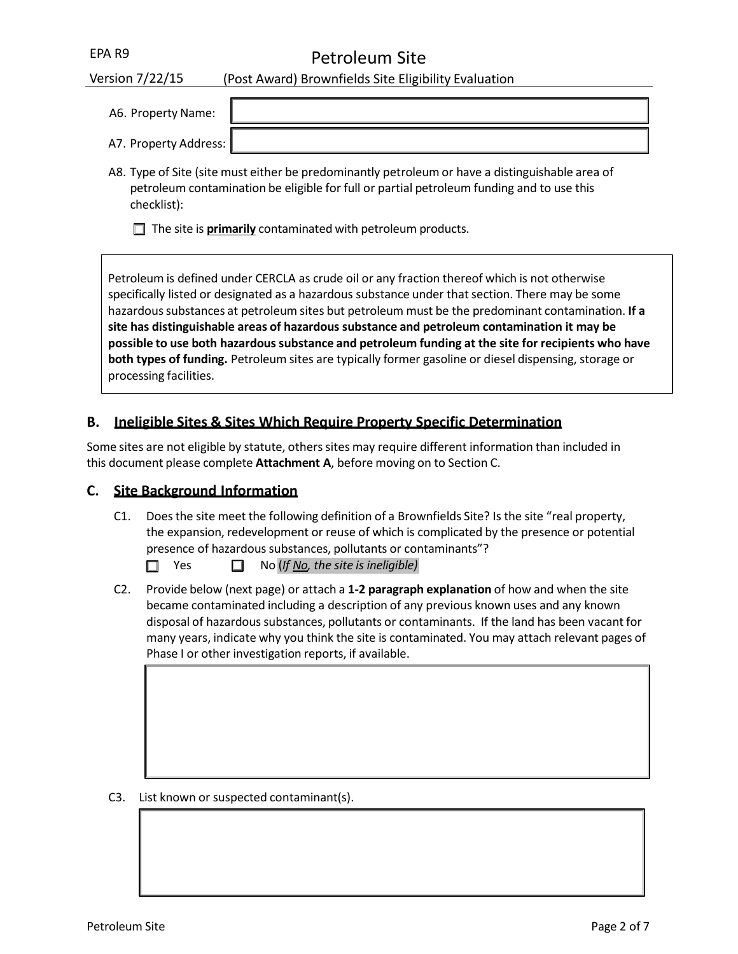Petroleum Site

| Version 7/22/15       | (Post Award) Brownfields Site Eligibility Evaluation                                            |
|-----------------------|-------------------------------------------------------------------------------------------------|
|                       |                                                                                                 |
| A6. Property Name:    |                                                                                                 |
| A7. Property Address: |                                                                                                 |
|                       | A8. Type of Site (site must either be predominantly petroleum or have a distinguishable area of |

A8. Type of Site (site must either be predominantly petroleum or have a distinguishable area of petroleum contamination be eligible for full or partial petroleum funding and to use this checklist):

 $\Box$  The site is **primarily** contaminated with petroleum products.

Petroleum is defined under CERCLA as crude oil or any fraction thereof which is not otherwise specifically listed or designated as a hazardous substance under that section. There may be some hazardoussubstances at petroleum sites but petroleum must be the predominant contamination. **If a site has distinguishable areas of hazardous substance and petroleum contamination it may be possible to use both hazardous substance and petroleum funding at the site for recipients who have both types of funding.** Petroleum sites are typically former gasoline or diesel dispensing, storage or processing facilities.

# **B. Ineligible Sites & Sites Which Require Property Specific Determination**

Some sites are not eligible by statute, others sites may require different information than included in this document please complete **Attachment A**, before moving on to Section C.

# **C. Site Background Information**

C1. Does the site meet the following definition of a Brownfields Site? Is the site "real property, the expansion, redevelopment or reuse of which is complicated by the presence or potential presence of hazardous substances, pollutants or contaminants"?

Yes No (*If No, the site is ineligible)*

C2. Provide below (next page) or attach a **1‐2 paragraph explanation** of how and when the site became contaminated including a description of any previous known uses and any known disposal of hazardous substances, pollutants or contaminants. If the land has been vacant for many years, indicate why you think the site is contaminated. You may attach relevant pages of Phase I or other investigation reports, if available.

C3. List known or suspected contaminant(s).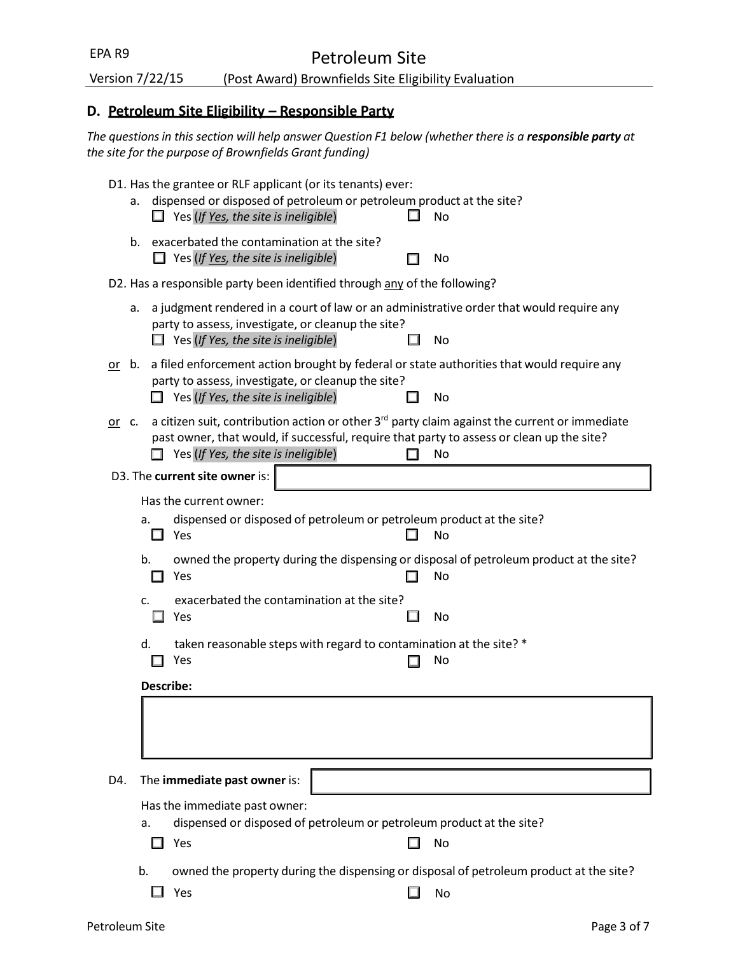| EPA R9<br>Petroleum Site                                                |                                |                                                                                                            |  |  |                                                                                                                                                                                                              |
|-------------------------------------------------------------------------|--------------------------------|------------------------------------------------------------------------------------------------------------|--|--|--------------------------------------------------------------------------------------------------------------------------------------------------------------------------------------------------------------|
| Version 7/22/15<br>(Post Award) Brownfields Site Eligibility Evaluation |                                |                                                                                                            |  |  |                                                                                                                                                                                                              |
|                                                                         |                                | D. Petroleum Site Eligibility - Responsible Party                                                          |  |  |                                                                                                                                                                                                              |
|                                                                         |                                | the site for the purpose of Brownfields Grant funding)                                                     |  |  | The questions in this section will help answer Question F1 below (whether there is a responsible party at                                                                                                    |
| а.                                                                      |                                | D1. Has the grantee or RLF applicant (or its tenants) ever:<br>$\Box$ Yes (If Yes, the site is ineligible) |  |  | dispensed or disposed of petroleum or petroleum product at the site?<br>No                                                                                                                                   |
| b.                                                                      |                                | exacerbated the contamination at the site?<br>$\Box$ Yes (If <u>Yes</u> , the site is ineligible)          |  |  | No                                                                                                                                                                                                           |
|                                                                         |                                | D2. Has a responsible party been identified through any of the following?                                  |  |  |                                                                                                                                                                                                              |
| a.                                                                      |                                | party to assess, investigate, or cleanup the site?<br>$\Box$ Yes (If Yes, the site is ineligible)          |  |  | a judgment rendered in a court of law or an administrative order that would require any<br>No                                                                                                                |
|                                                                         |                                | party to assess, investigate, or cleanup the site?<br>Yes (If Yes, the site is ineligible)                 |  |  | $or$ b. a filed enforcement action brought by federal or state authorities that would require any<br>No                                                                                                      |
| or c.                                                                   |                                | Yes (If Yes, the site is ineligible)                                                                       |  |  | a citizen suit, contribution action or other 3 <sup>rd</sup> party claim against the current or immediate<br>past owner, that would, if successful, require that party to assess or clean up the site?<br>No |
|                                                                         | D3. The current site owner is: |                                                                                                            |  |  |                                                                                                                                                                                                              |
| a.                                                                      | Has the current owner:<br>Yes  |                                                                                                            |  |  | dispensed or disposed of petroleum or petroleum product at the site?<br>No                                                                                                                                   |
| b.                                                                      | Yes                            |                                                                                                            |  |  | owned the property during the dispensing or disposal of petroleum product at the site?<br>No                                                                                                                 |
| c.                                                                      | Yes                            | exacerbated the contamination at the site?                                                                 |  |  | No                                                                                                                                                                                                           |
| d.                                                                      | Yes                            |                                                                                                            |  |  | taken reasonable steps with regard to contamination at the site? *<br>No                                                                                                                                     |
|                                                                         | Describe:                      |                                                                                                            |  |  |                                                                                                                                                                                                              |
|                                                                         |                                |                                                                                                            |  |  |                                                                                                                                                                                                              |
| D4.                                                                     | The immediate past owner is:   |                                                                                                            |  |  |                                                                                                                                                                                                              |
| a.                                                                      | Yes                            | Has the immediate past owner:                                                                              |  |  | dispensed or disposed of petroleum or petroleum product at the site?<br>No                                                                                                                                   |
| b.                                                                      | Yes                            |                                                                                                            |  |  | owned the property during the dispensing or disposal of petroleum product at the site?<br>No                                                                                                                 |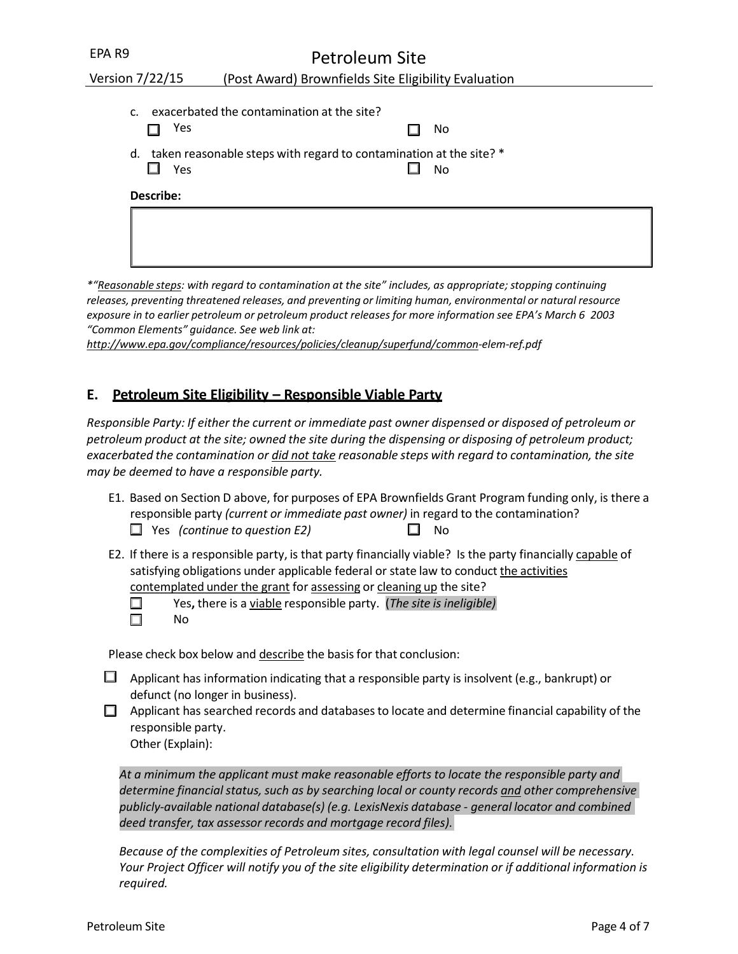| EPA R9                | Petroleum Site                                                           |  |  |  |
|-----------------------|--------------------------------------------------------------------------|--|--|--|
| Version 7/22/15       | (Post Award) Brownfields Site Eligibility Evaluation                     |  |  |  |
| $\mathsf{C}$ .<br>Yes | exacerbated the contamination at the site?<br>No.                        |  |  |  |
|                       |                                                                          |  |  |  |
| d.<br>Yes             | taken reasonable steps with regard to contamination at the site? *<br>No |  |  |  |
| Describe:             |                                                                          |  |  |  |
|                       |                                                                          |  |  |  |
|                       |                                                                          |  |  |  |

*\*"Reasonable steps: with regard to contamination at the site" includes, as appropriate; stopping continuing releases, preventing threatened releases, and preventing or limiting human, environmental or natural resource exposure in to earlier petroleum or petroleum product releases for more information see EPA's March 6 2003 "Common Elements" guidance. See web link at:* 

*<http://www.epa.gov/compliance/resources/policies/cleanup/superfund/common>‐elem‐ref.pdf*

### **E. Petroleum Site Eligibility – Responsible Viable Party**

*Responsible Party: If either the current or immediate past owner dispensed or disposed of petroleum or petroleum product at the site; owned the site during the dispensing or disposing of petroleum product; exacerbated the contamination or did not take reasonable steps with regard to contamination, the site may be deemed to have a responsible party.*

- E1. Based on Section D above, for purposes of EPA Brownfields Grant Program funding only, is there a responsible party *(current or immediate past owner)* in regard to the contamination? Yes *(continue to question E2)* No
- E2. If there is a responsible party, is that party financially viable? Is the party financially capable of satisfying obligations under applicable federal or state law to conduct the activities contemplated under the grant for assessing or cleaning up the site?

 $\Box$ П

Yes**,** there is a viable responsible party. (*The site is ineligible)*  No

Please check box below and describe the basis for that conclusion:

- $\Box$  Applicant has information indicating that a responsible party is insolvent (e.g., bankrupt) or defunct (no longer in business).
- $\Box$  Applicant has searched records and databases to locate and determine financial capability of the responsible party.

Other (Explain):

*At a minimum the applicant must make reasonable efforts to locate the responsible party and determine financialstatus,such as by searching local or county records and other comprehensive publicly‐available national database(s) (e.g. LexisNexis database ‐ general locator and combined deed transfer, tax assessor records and mortgage record files).*

*Because of the complexities of Petroleum sites, consultation with legal counsel will be necessary. Your Project Officer will notify you of the site eligibility determination or if additional information is required.*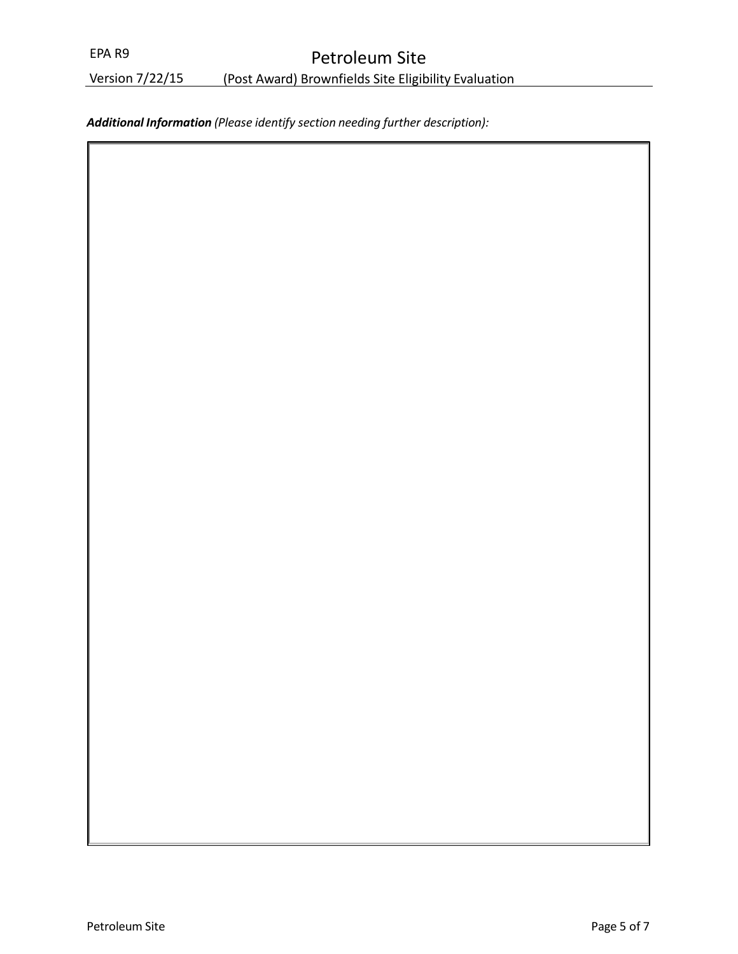# Petroleum Site

Version 7/22/15 (Post Award) Brownfields Site Eligibility Evaluation

*Additional Information (Please identify section needing further description):*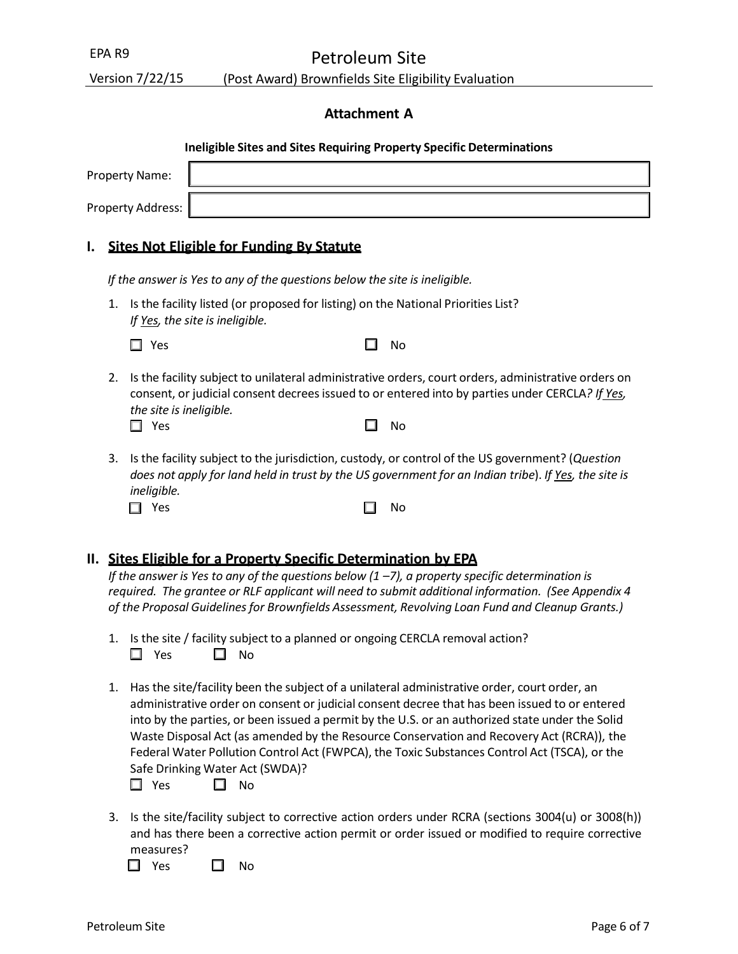Petroleum Site

Version 7/22/15 (Post Award) Brownfields Site Eligibility Evaluation

### **Attachment A**

|    |                                                                                                                                                                                                                               | <b>Ineligible Sites and Sites Requiring Property Specific Determinations</b> |           |  |
|----|-------------------------------------------------------------------------------------------------------------------------------------------------------------------------------------------------------------------------------|------------------------------------------------------------------------------|-----------|--|
|    |                                                                                                                                                                                                                               | <b>Property Name:</b>                                                        |           |  |
|    |                                                                                                                                                                                                                               | <b>Property Address:</b>                                                     |           |  |
| ı. |                                                                                                                                                                                                                               | <b>Sites Not Eligible for Funding By Statute</b>                             |           |  |
|    |                                                                                                                                                                                                                               | If the answer is Yes to any of the questions below the site is ineligible.   |           |  |
|    | Is the facility listed (or proposed for listing) on the National Priorities List?<br>1.<br>If Yes, the site is ineligible.                                                                                                    |                                                                              |           |  |
|    |                                                                                                                                                                                                                               | Yes                                                                          | No        |  |
|    | Is the facility subject to unilateral administrative orders, court orders, administrative orders on<br>2.<br>consent, or judicial consent decrees issued to or entered into by parties under CERCLA? If Yes,                  |                                                                              |           |  |
|    |                                                                                                                                                                                                                               | the site is ineligible.<br>Yes<br>ш                                          | <b>No</b> |  |
|    | Is the facility subject to the jurisdiction, custody, or control of the US government? (Question<br>3.<br>does not apply for land held in trust by the US government for an Indian tribe). If Yes, the site is<br>ineligible. |                                                                              |           |  |
|    |                                                                                                                                                                                                                               | Yes                                                                          | No        |  |

### **II. Sites Eligible for a Property Specific Determination by EPA**

*If the answer is Yes to any of the questions below (1 –7), a property specific determination is required. The grantee or RLF applicant will need to submit additional information. (See Appendix 4 of the Proposal Guidelinesfor Brownfields Assessment, Revolving Loan Fund and Cleanup Grants.)*

- 1. Is the site / facility subject to a planned or ongoing CERCLA removal action?  $\Box$  Yes  $\Box$  No
- 1. Has the site/facility been the subject of a unilateral administrative order, court order, an administrative order on consent or judicial consent decree that has been issued to or entered into by the parties, or been issued a permit by the U.S. or an authorized state under the Solid Waste Disposal Act (as amended by the Resource Conservation and Recovery Act (RCRA)), the Federal Water Pollution Control Act (FWPCA), the Toxic Substances Control Act (TSCA), or the Safe Drinking Water Act (SWDA)?

 $\Box$  Yes  $\Box$  No

3. Is the site/facility subject to corrective action orders under RCRA (sections 3004(u) or 3008(h)) and has there been a corrective action permit or order issued or modified to require corrective measures?

 $\square$  Yes  $\square$  No